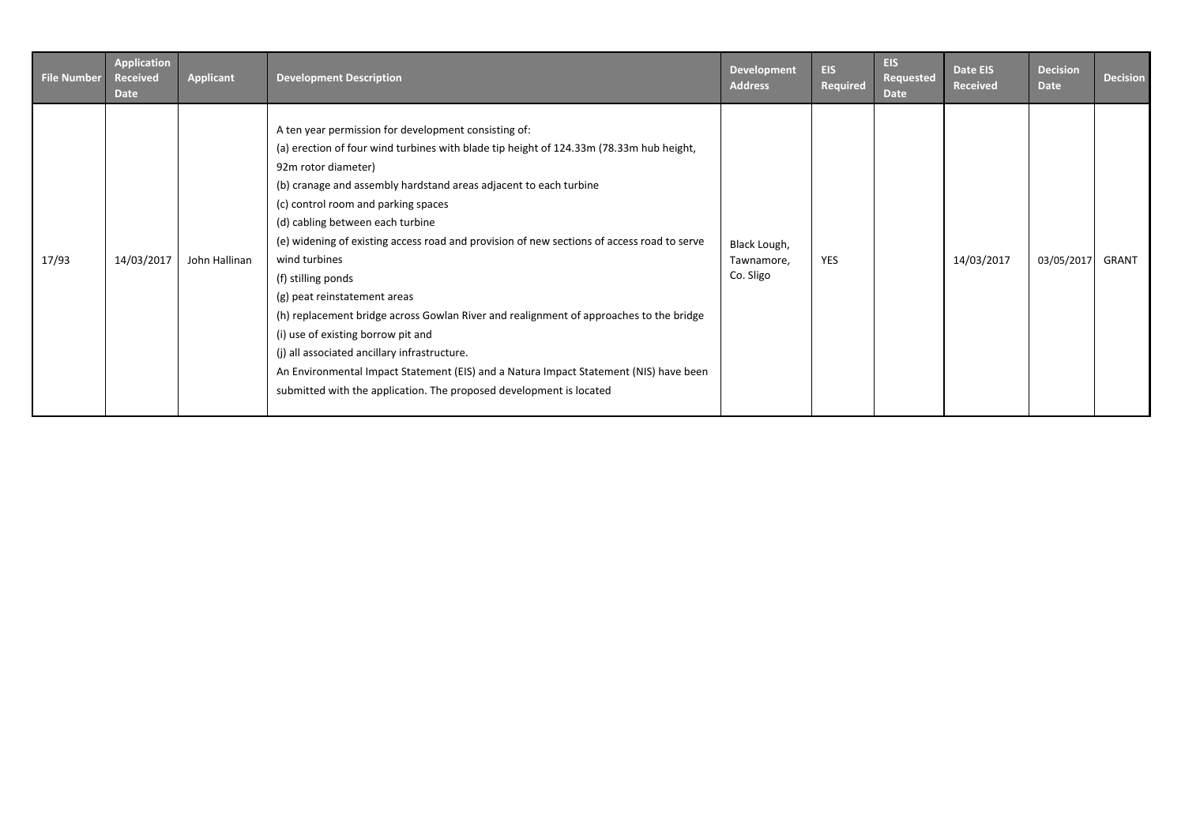| <b>File Number</b> | <b>Application</b><br><b>Received</b><br><b>Date</b> | <b>Applicant</b> | <b>Development Description</b>                                                                                                                                                                                                                                                                                                                                                                                                                                                                                                                                                                                                                                                                                                                                                                                                              | Development<br><b>Address</b>           | <b>EIS</b><br>Required | <b>EIS</b><br>Requested<br><b>Date</b> | Date EIS<br><b>Received</b> | <b>Decision</b><br><b>Date</b> | <b>Decision</b> |
|--------------------|------------------------------------------------------|------------------|---------------------------------------------------------------------------------------------------------------------------------------------------------------------------------------------------------------------------------------------------------------------------------------------------------------------------------------------------------------------------------------------------------------------------------------------------------------------------------------------------------------------------------------------------------------------------------------------------------------------------------------------------------------------------------------------------------------------------------------------------------------------------------------------------------------------------------------------|-----------------------------------------|------------------------|----------------------------------------|-----------------------------|--------------------------------|-----------------|
| 17/93              | 14/03/2017                                           | John Hallinan    | A ten year permission for development consisting of:<br>(a) erection of four wind turbines with blade tip height of 124.33m (78.33m hub height,<br>92m rotor diameter)<br>(b) cranage and assembly hardstand areas adjacent to each turbine<br>(c) control room and parking spaces<br>(d) cabling between each turbine<br>(e) widening of existing access road and provision of new sections of access road to serve<br>wind turbines<br>(f) stilling ponds<br>(g) peat reinstatement areas<br>(h) replacement bridge across Gowlan River and realignment of approaches to the bridge<br>(i) use of existing borrow pit and<br>(j) all associated ancillary infrastructure.<br>An Environmental Impact Statement (EIS) and a Natura Impact Statement (NIS) have been<br>submitted with the application. The proposed development is located | Black Lough,<br>Tawnamore,<br>Co. Sligo | YES                    |                                        | 14/03/2017                  | 03/05/2017                     | GRANT           |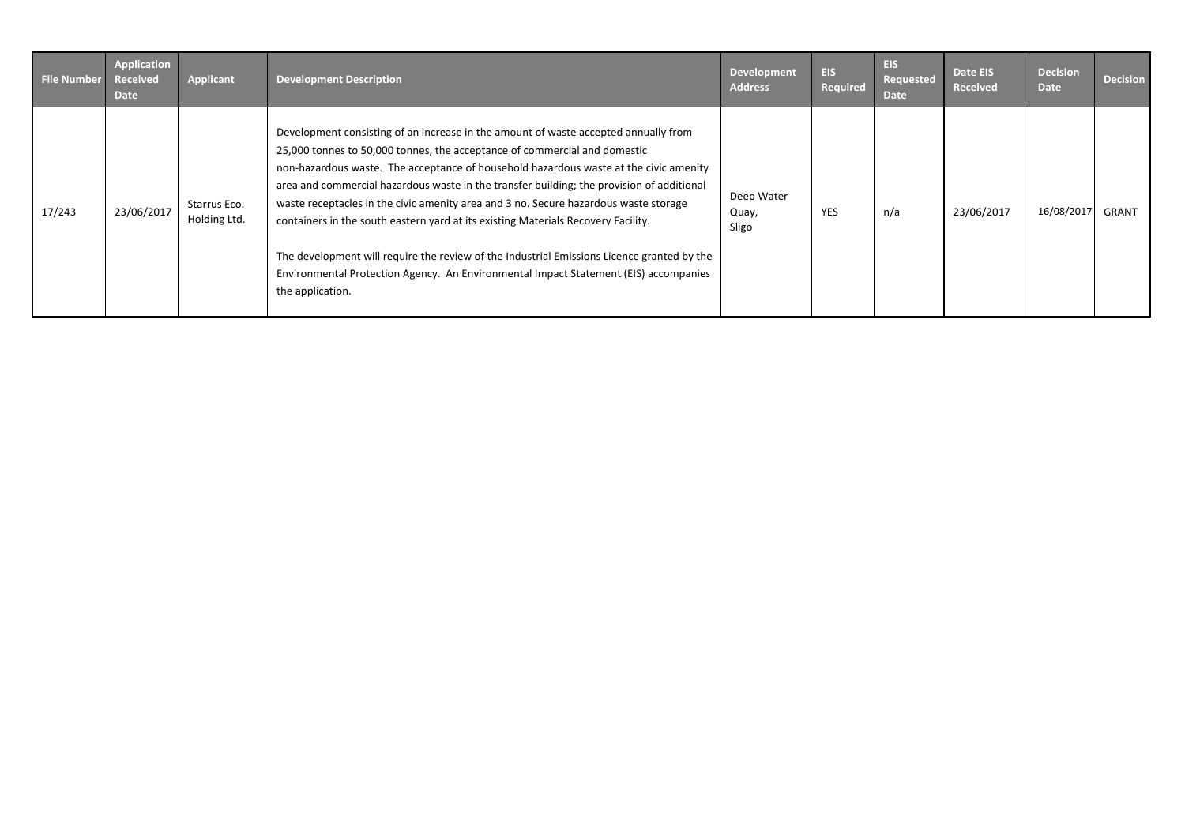| <b>File Number</b> | Application<br><b>Received</b><br>Date | Applicant                    | <b>Development Description</b>                                                                                                                                                                                                                                                                                                                                                                                                                                                                                                                                                                                                                                                                                                                | <b>Development</b><br><b>Address</b> | <b>EIS</b><br>Required | <b>EIS</b><br>Requested<br>Date | Date EIS<br><b>Received</b> | <b>Decision</b><br><b>Date</b> | <b>Decision</b> |
|--------------------|----------------------------------------|------------------------------|-----------------------------------------------------------------------------------------------------------------------------------------------------------------------------------------------------------------------------------------------------------------------------------------------------------------------------------------------------------------------------------------------------------------------------------------------------------------------------------------------------------------------------------------------------------------------------------------------------------------------------------------------------------------------------------------------------------------------------------------------|--------------------------------------|------------------------|---------------------------------|-----------------------------|--------------------------------|-----------------|
| 17/243             | 23/06/2017                             | Starrus Eco.<br>Holding Ltd. | Development consisting of an increase in the amount of waste accepted annually from<br>25,000 tonnes to 50,000 tonnes, the acceptance of commercial and domestic<br>non-hazardous waste. The acceptance of household hazardous waste at the civic amenity<br>area and commercial hazardous waste in the transfer building; the provision of additional<br>waste receptacles in the civic amenity area and 3 no. Secure hazardous waste storage<br>containers in the south eastern yard at its existing Materials Recovery Facility.<br>The development will require the review of the Industrial Emissions Licence granted by the<br>Environmental Protection Agency. An Environmental Impact Statement (EIS) accompanies<br>the application. | Deep Water<br>Quay,<br>Sligo         | <b>YES</b>             | n/a                             | 23/06/2017                  | 16/08/2017                     | GRANT           |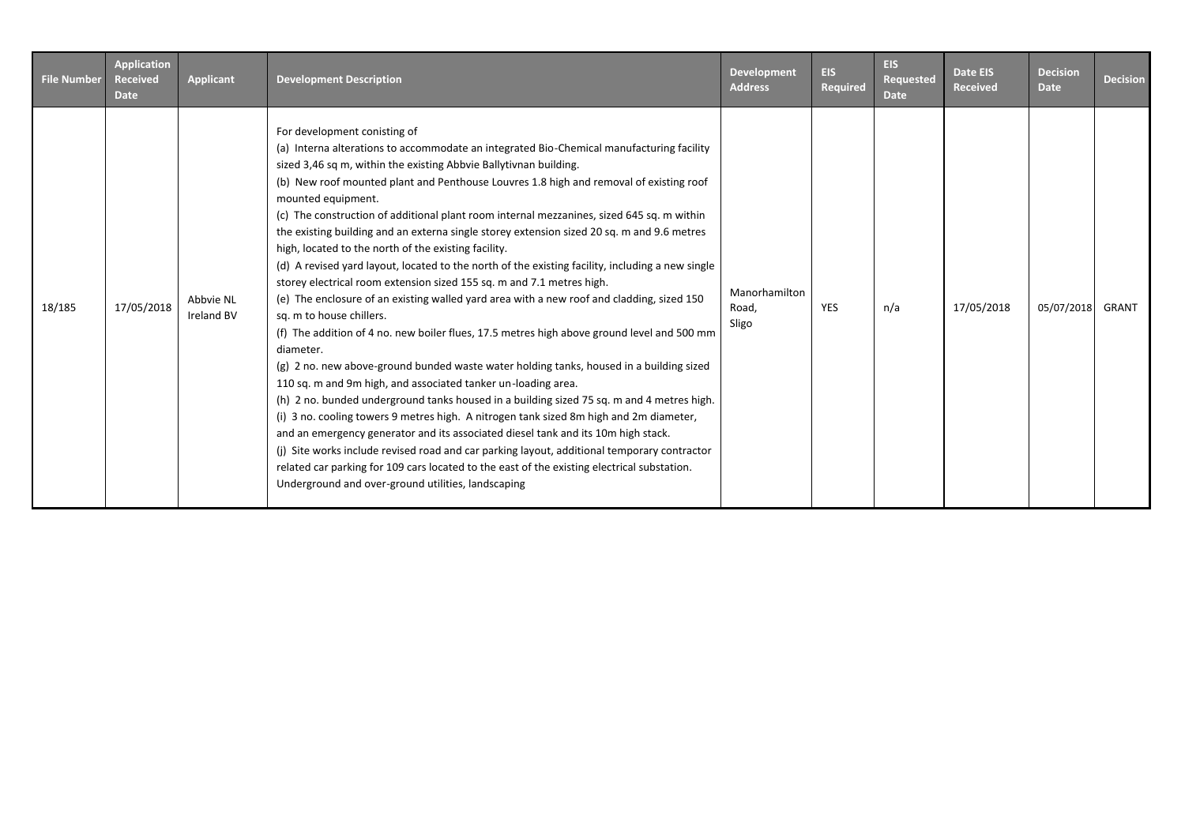| <b>File Number</b> | <b>Application</b><br><b>Received</b><br><b>Date</b> | <b>Applicant</b>               | <b>Development Description</b>                                                                                                                                                                                                                                                                                                                                                                                                                                                                                                                                                                                                                                                                                                                                                                                                                                                                                                                                                                                                                                                                                                                                                                                                                                                                                                                                                                                                                                                                                                                                                                                                                                                | Development<br><b>Address</b>   | EIS.<br><b>Required</b> | <b>EIS</b><br>Requested<br><b>Date</b> | <b>Date EIS</b><br><b>Received</b> | <b>Decision</b><br><b>Date</b> | <b>Decision</b> |
|--------------------|------------------------------------------------------|--------------------------------|-------------------------------------------------------------------------------------------------------------------------------------------------------------------------------------------------------------------------------------------------------------------------------------------------------------------------------------------------------------------------------------------------------------------------------------------------------------------------------------------------------------------------------------------------------------------------------------------------------------------------------------------------------------------------------------------------------------------------------------------------------------------------------------------------------------------------------------------------------------------------------------------------------------------------------------------------------------------------------------------------------------------------------------------------------------------------------------------------------------------------------------------------------------------------------------------------------------------------------------------------------------------------------------------------------------------------------------------------------------------------------------------------------------------------------------------------------------------------------------------------------------------------------------------------------------------------------------------------------------------------------------------------------------------------------|---------------------------------|-------------------------|----------------------------------------|------------------------------------|--------------------------------|-----------------|
| 18/185             | 17/05/2018                                           | Abbvie NL<br><b>Ireland BV</b> | For development conisting of<br>(a) Interna alterations to accommodate an integrated Bio-Chemical manufacturing facility<br>sized 3,46 sq m, within the existing Abbvie Ballytivnan building.<br>(b) New roof mounted plant and Penthouse Louvres 1.8 high and removal of existing roof<br>mounted equipment.<br>(c) The construction of additional plant room internal mezzanines, sized 645 sq. m within<br>the existing building and an externa single storey extension sized 20 sq. m and 9.6 metres<br>high, located to the north of the existing facility.<br>(d) A revised yard layout, located to the north of the existing facility, including a new single<br>storey electrical room extension sized 155 sq. m and 7.1 metres high.<br>(e) The enclosure of an existing walled yard area with a new roof and cladding, sized 150<br>sq. m to house chillers.<br>(f) The addition of 4 no. new boiler flues, 17.5 metres high above ground level and 500 mm<br>diameter.<br>(g) 2 no. new above-ground bunded waste water holding tanks, housed in a building sized<br>110 sq. m and 9m high, and associated tanker un-loading area.<br>(h) 2 no. bunded underground tanks housed in a building sized 75 sq. m and 4 metres high.<br>(i) 3 no. cooling towers 9 metres high. A nitrogen tank sized 8m high and 2m diameter,<br>and an emergency generator and its associated diesel tank and its 10m high stack.<br>(j) Site works include revised road and car parking layout, additional temporary contractor<br>related car parking for 109 cars located to the east of the existing electrical substation.<br>Underground and over-ground utilities, landscaping | Manorhamilton<br>Road,<br>Sligo | YES                     | n/a                                    | 17/05/2018                         | 05/07/2018                     | GRANT           |